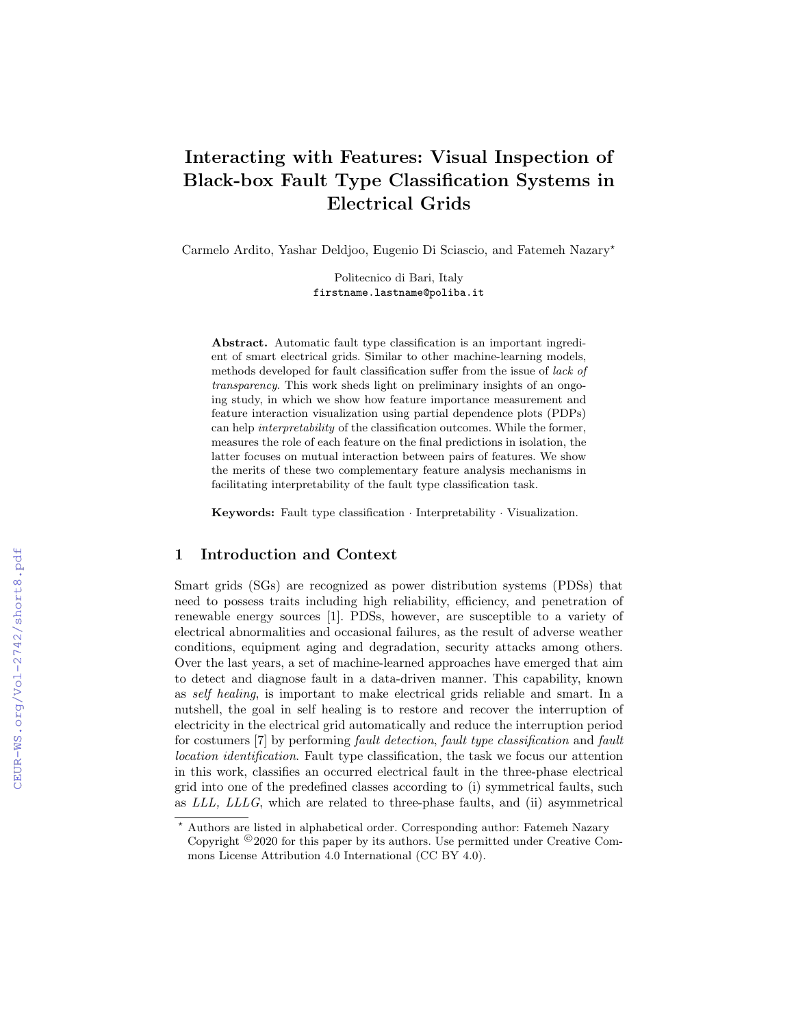# Interacting with Features: Visual Inspection of Black-box Fault Type Classification Systems in Electrical Grids

Carmelo Ardito, Yashar Deldjoo, Eugenio Di Sciascio, and Fatemeh Nazary?

Politecnico di Bari, Italy firstname.lastname@poliba.it

Abstract. Automatic fault type classification is an important ingredient of smart electrical grids. Similar to other machine-learning models, methods developed for fault classification suffer from the issue of lack of transparency. This work sheds light on preliminary insights of an ongoing study, in which we show how feature importance measurement and feature interaction visualization using partial dependence plots (PDPs) can help interpretability of the classification outcomes. While the former, measures the role of each feature on the final predictions in isolation, the latter focuses on mutual interaction between pairs of features. We show the merits of these two complementary feature analysis mechanisms in facilitating interpretability of the fault type classification task.

Keywords: Fault type classification · Interpretability · Visualization.

## 1 Introduction and Context

Smart grids (SGs) are recognized as power distribution systems (PDSs) that need to possess traits including high reliability, efficiency, and penetration of renewable energy sources [1]. PDSs, however, are susceptible to a variety of electrical abnormalities and occasional failures, as the result of adverse weather conditions, equipment aging and degradation, security attacks among others. Over the last years, a set of machine-learned approaches have emerged that aim to detect and diagnose fault in a data-driven manner. This capability, known as self healing, is important to make electrical grids reliable and smart. In a nutshell, the goal in self healing is to restore and recover the interruption of electricity in the electrical grid automatically and reduce the interruption period for costumers [7] by performing fault detection, fault type classification and fault location identification. Fault type classification, the task we focus our attention in this work, classifies an occurred electrical fault in the three-phase electrical grid into one of the predefined classes according to (i) symmetrical faults, such as LLL, LLLG, which are related to three-phase faults, and (ii) asymmetrical

<sup>?</sup> Authors are listed in alphabetical order. Corresponding author: Fatemeh Nazary Copyright  $\circledcirc$  2020 for this paper by its authors. Use permitted under Creative Commons License Attribution 4.0 International (CC BY 4.0).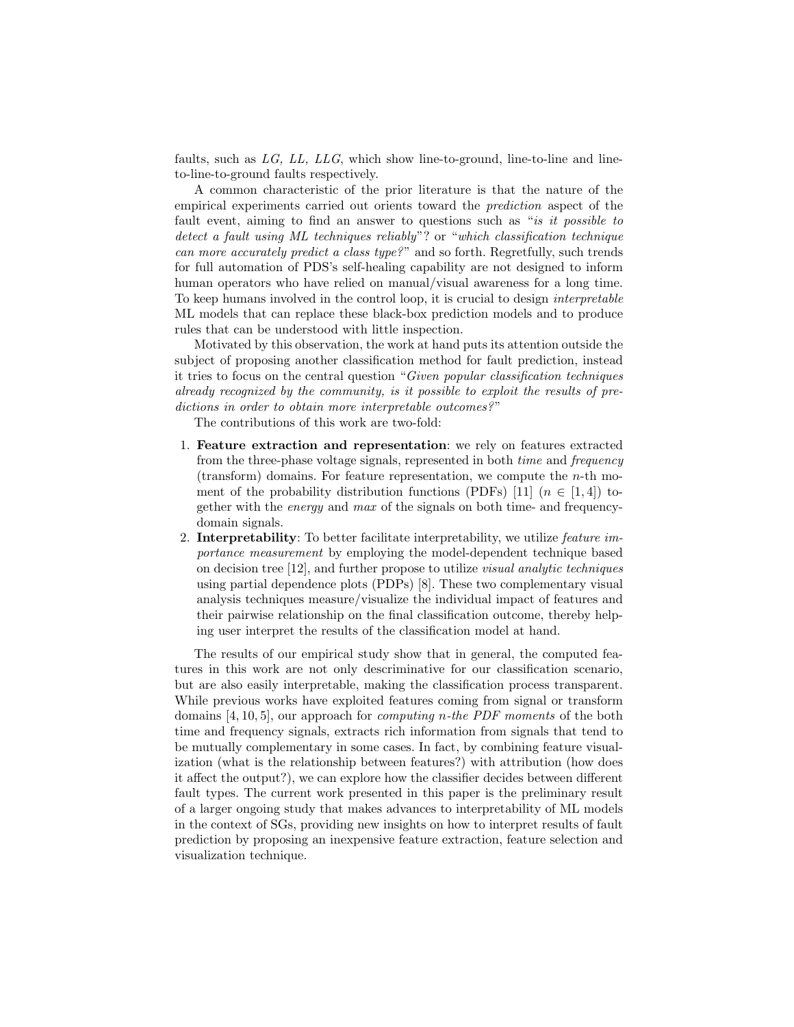faults, such as  $LG$ ,  $LL$ ,  $LLG$ , which show line-to-ground, line-to-line and lineto-line-to-ground faults respectively.

A common characteristic of the prior literature is that the nature of the empirical experiments carried out orients toward the prediction aspect of the fault event, aiming to find an answer to questions such as "is it possible to detect a fault using ML techniques reliably"? or "which classification technique can more accurately predict a class type?" and so forth. Regretfully, such trends for full automation of PDS's self-healing capability are not designed to inform human operators who have relied on manual/visual awareness for a long time. To keep humans involved in the control loop, it is crucial to design interpretable ML models that can replace these black-box prediction models and to produce rules that can be understood with little inspection.

Motivated by this observation, the work at hand puts its attention outside the subject of proposing another classification method for fault prediction, instead it tries to focus on the central question "Given popular classification techniques already recognized by the community, is it possible to exploit the results of predictions in order to obtain more interpretable outcomes?"

The contributions of this work are two-fold:

- 1. Feature extraction and representation: we rely on features extracted from the three-phase voltage signals, represented in both time and frequency (transform) domains. For feature representation, we compute the  $n$ -th moment of the probability distribution functions (PDFs) [11]  $(n \in [1, 4])$  together with the energy and max of the signals on both time- and frequencydomain signals.
- 2. Interpretability: To better facilitate interpretability, we utilize *feature im*portance measurement by employing the model-dependent technique based on decision tree [12], and further propose to utilize visual analytic techniques using partial dependence plots (PDPs) [8]. These two complementary visual analysis techniques measure/visualize the individual impact of features and their pairwise relationship on the final classification outcome, thereby helping user interpret the results of the classification model at hand.

The results of our empirical study show that in general, the computed features in this work are not only descriminative for our classification scenario, but are also easily interpretable, making the classification process transparent. While previous works have exploited features coming from signal or transform domains [4, 10, 5], our approach for *computing n-the PDF moments* of the both time and frequency signals, extracts rich information from signals that tend to be mutually complementary in some cases. In fact, by combining feature visualization (what is the relationship between features?) with attribution (how does it affect the output?), we can explore how the classifier decides between different fault types. The current work presented in this paper is the preliminary result of a larger ongoing study that makes advances to interpretability of ML models in the context of SGs, providing new insights on how to interpret results of fault prediction by proposing an inexpensive feature extraction, feature selection and visualization technique.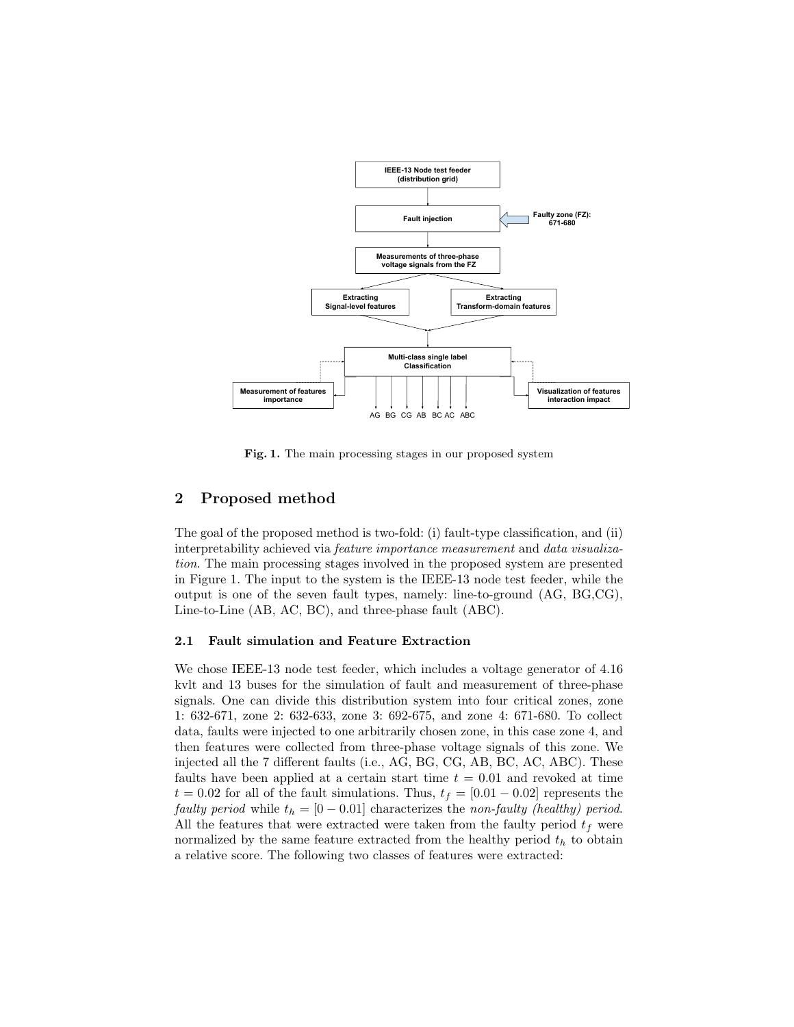

Fig. 1. The main processing stages in our proposed system

# 2 Proposed method

The goal of the proposed method is two-fold: (i) fault-type classification, and (ii) interpretability achieved via feature importance measurement and data visualization. The main processing stages involved in the proposed system are presented in Figure 1. The input to the system is the IEEE-13 node test feeder, while the output is one of the seven fault types, namely: line-to-ground (AG, BG,CG), Line-to-Line (AB, AC, BC), and three-phase fault (ABC).

### 2.1 Fault simulation and Feature Extraction

We chose IEEE-13 node test feeder, which includes a voltage generator of 4.16 kvlt and 13 buses for the simulation of fault and measurement of three-phase signals. One can divide this distribution system into four critical zones, zone 1: 632-671, zone 2: 632-633, zone 3: 692-675, and zone 4: 671-680. To collect data, faults were injected to one arbitrarily chosen zone, in this case zone 4, and then features were collected from three-phase voltage signals of this zone. We injected all the 7 different faults (i.e., AG, BG, CG, AB, BC, AC, ABC). These faults have been applied at a certain start time  $t = 0.01$  and revoked at time  $t = 0.02$  for all of the fault simulations. Thus,  $t_f = [0.01 - 0.02]$  represents the faulty period while  $t_h = [0 - 0.01]$  characterizes the non-faulty (healthy) period. All the features that were extracted were taken from the faulty period  $t_f$  were normalized by the same feature extracted from the healthy period  $t<sub>h</sub>$  to obtain a relative score. The following two classes of features were extracted: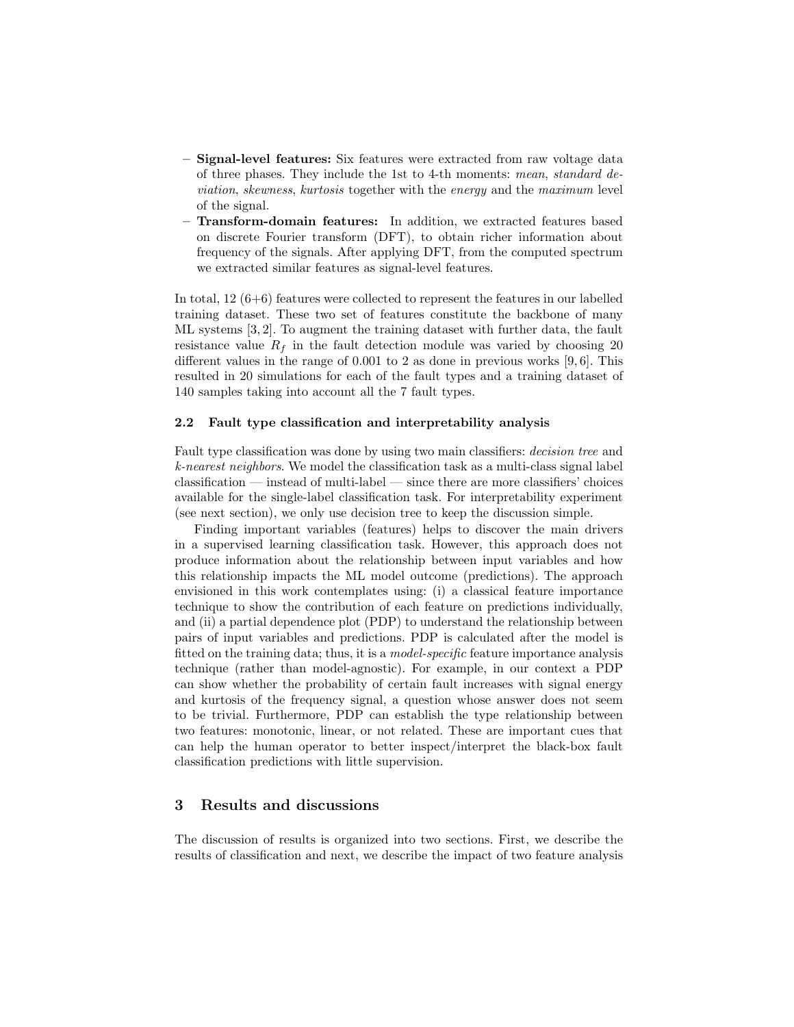- Signal-level features: Six features were extracted from raw voltage data of three phases. They include the 1st to 4-th moments: mean, standard deviation, skewness, kurtosis together with the energy and the maximum level of the signal.
- Transform-domain features: In addition, we extracted features based on discrete Fourier transform (DFT), to obtain richer information about frequency of the signals. After applying DFT, from the computed spectrum we extracted similar features as signal-level features.

In total, 12 (6+6) features were collected to represent the features in our labelled training dataset. These two set of features constitute the backbone of many ML systems [3, 2]. To augment the training dataset with further data, the fault resistance value  $R_f$  in the fault detection module was varied by choosing 20 different values in the range of 0.001 to 2 as done in previous works [9, 6]. This resulted in 20 simulations for each of the fault types and a training dataset of 140 samples taking into account all the 7 fault types.

#### 2.2 Fault type classification and interpretability analysis

Fault type classification was done by using two main classifiers: decision tree and k-nearest neighbors. We model the classification task as a multi-class signal label classification — instead of multi-label — since there are more classifiers' choices available for the single-label classification task. For interpretability experiment (see next section), we only use decision tree to keep the discussion simple.

Finding important variables (features) helps to discover the main drivers in a supervised learning classification task. However, this approach does not produce information about the relationship between input variables and how this relationship impacts the ML model outcome (predictions). The approach envisioned in this work contemplates using: (i) a classical feature importance technique to show the contribution of each feature on predictions individually, and (ii) a partial dependence plot (PDP) to understand the relationship between pairs of input variables and predictions. PDP is calculated after the model is fitted on the training data; thus, it is a model-specific feature importance analysis technique (rather than model-agnostic). For example, in our context a PDP can show whether the probability of certain fault increases with signal energy and kurtosis of the frequency signal, a question whose answer does not seem to be trivial. Furthermore, PDP can establish the type relationship between two features: monotonic, linear, or not related. These are important cues that can help the human operator to better inspect/interpret the black-box fault classification predictions with little supervision.

# 3 Results and discussions

The discussion of results is organized into two sections. First, we describe the results of classification and next, we describe the impact of two feature analysis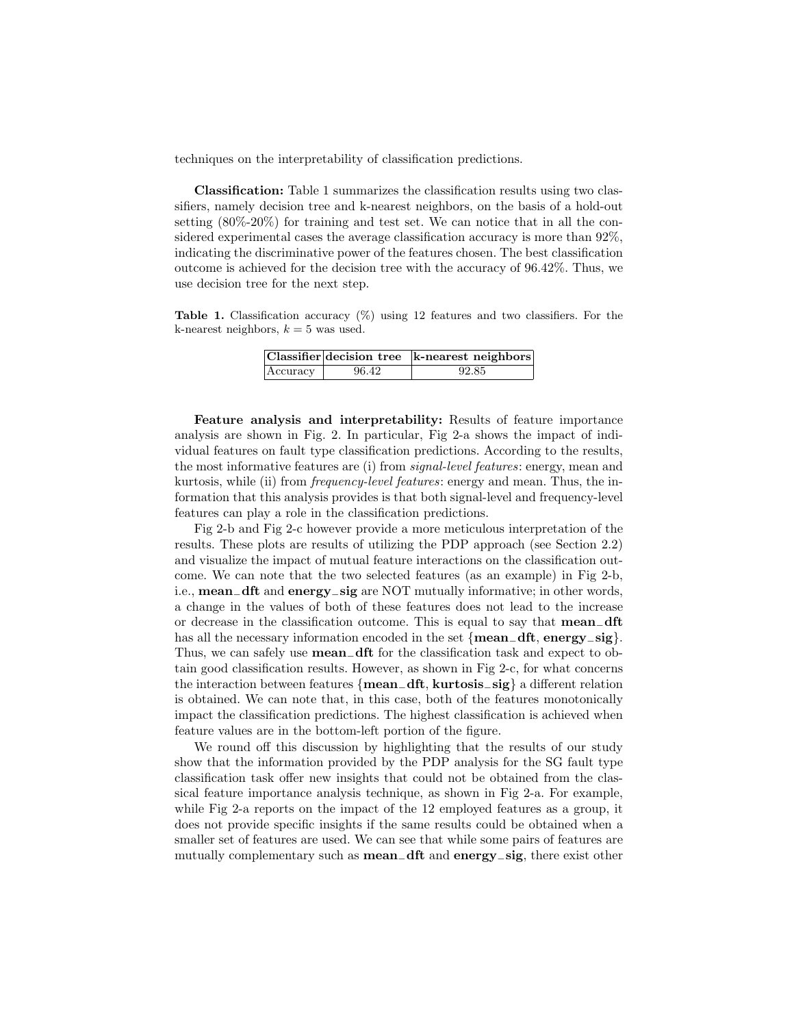techniques on the interpretability of classification predictions.

Classification: Table 1 summarizes the classification results using two classifiers, namely decision tree and k-nearest neighbors, on the basis of a hold-out setting (80%-20%) for training and test set. We can notice that in all the considered experimental cases the average classification accuracy is more than 92%, indicating the discriminative power of the features chosen. The best classification outcome is achieved for the decision tree with the accuracy of 96.42%. Thus, we use decision tree for the next step.

Table 1. Classification accuracy  $(\%)$  using 12 features and two classifiers. For the k-nearest neighbors,  $k = 5$  was used.

|          |       | Classifier decision tree k-nearest neighbors |
|----------|-------|----------------------------------------------|
| Accuracy | 96.42 | 92.85                                        |

Feature analysis and interpretability: Results of feature importance analysis are shown in Fig. 2. In particular, Fig 2-a shows the impact of individual features on fault type classification predictions. According to the results, the most informative features are (i) from signal-level features: energy, mean and kurtosis, while (ii) from *frequency-level features*: energy and mean. Thus, the information that this analysis provides is that both signal-level and frequency-level features can play a role in the classification predictions.

Fig 2-b and Fig 2-c however provide a more meticulous interpretation of the results. These plots are results of utilizing the PDP approach (see Section 2.2) and visualize the impact of mutual feature interactions on the classification outcome. We can note that the two selected features (as an example) in Fig 2-b, i.e., mean−dft and energy−sig are NOT mutually informative; in other words, a change in the values of both of these features does not lead to the increase or decrease in the classification outcome. This is equal to say that mean−dft has all the necessary information encoded in the set {mean**−dft**, energy**−sig**}. Thus, we can safely use **mean\_dft** for the classification task and expect to obtain good classification results. However, as shown in Fig 2-c, for what concerns the interaction between features {mean−dft, kurtosis−sig} a different relation is obtained. We can note that, in this case, both of the features monotonically impact the classification predictions. The highest classification is achieved when feature values are in the bottom-left portion of the figure.

We round off this discussion by highlighting that the results of our study show that the information provided by the PDP analysis for the SG fault type classification task offer new insights that could not be obtained from the classical feature importance analysis technique, as shown in Fig 2-a. For example, while Fig 2-a reports on the impact of the 12 employed features as a group, it does not provide specific insights if the same results could be obtained when a smaller set of features are used. We can see that while some pairs of features are mutually complementary such as mean−dft and energy−sig, there exist other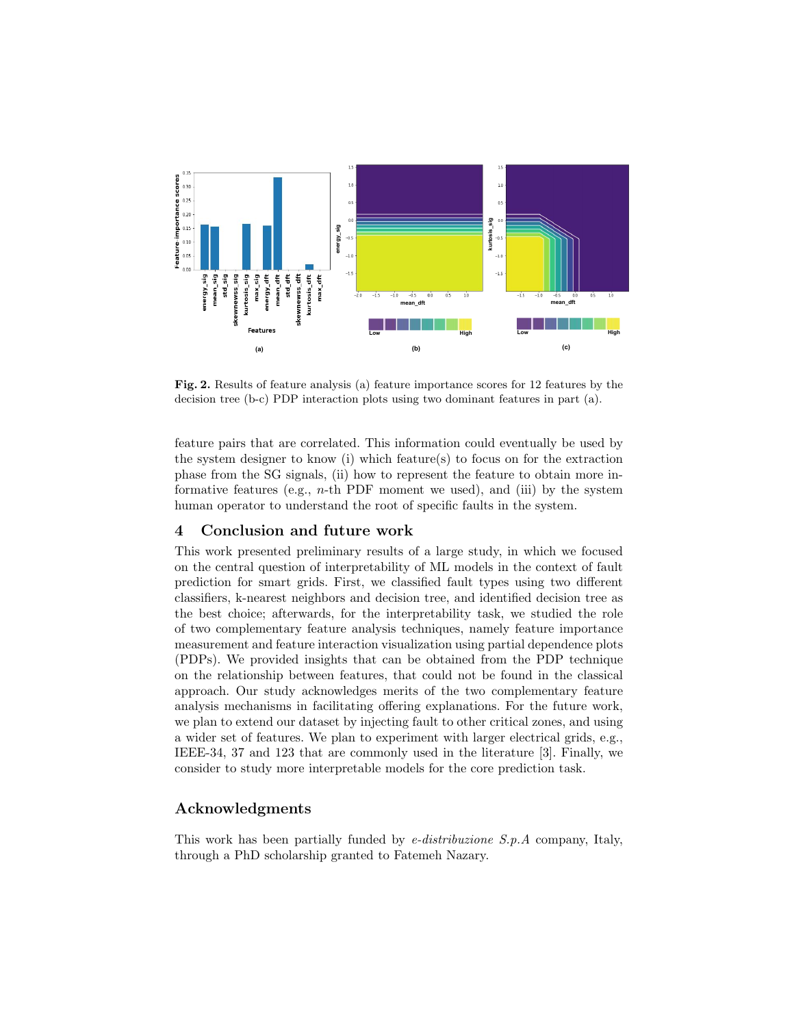

Fig. 2. Results of feature analysis (a) feature importance scores for 12 features by the decision tree (b-c) PDP interaction plots using two dominant features in part (a).

feature pairs that are correlated. This information could eventually be used by the system designer to know (i) which feature(s) to focus on for the extraction phase from the SG signals, (ii) how to represent the feature to obtain more informative features (e.g.,  $n$ -th PDF moment we used), and (iii) by the system human operator to understand the root of specific faults in the system.

# 4 Conclusion and future work

This work presented preliminary results of a large study, in which we focused on the central question of interpretability of ML models in the context of fault prediction for smart grids. First, we classified fault types using two different classifiers, k-nearest neighbors and decision tree, and identified decision tree as the best choice; afterwards, for the interpretability task, we studied the role of two complementary feature analysis techniques, namely feature importance measurement and feature interaction visualization using partial dependence plots (PDPs). We provided insights that can be obtained from the PDP technique on the relationship between features, that could not be found in the classical approach. Our study acknowledges merits of the two complementary feature analysis mechanisms in facilitating offering explanations. For the future work, we plan to extend our dataset by injecting fault to other critical zones, and using a wider set of features. We plan to experiment with larger electrical grids, e.g., IEEE-34, 37 and 123 that are commonly used in the literature [3]. Finally, we consider to study more interpretable models for the core prediction task.

# Acknowledgments

This work has been partially funded by e-distribuzione S.p.A company, Italy, through a PhD scholarship granted to Fatemeh Nazary.